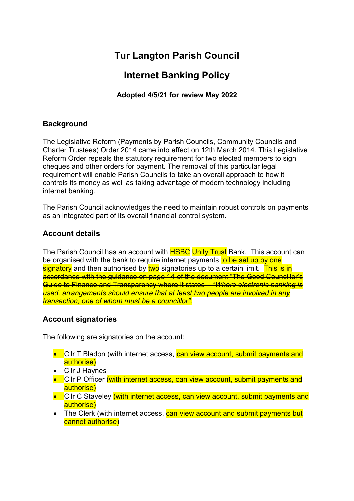# **Tur Langton Parish Council**

## **Internet Banking Policy**

**Adopted 4/5/21 for review May 2022**

#### **Background**

The Legislative Reform (Payments by Parish Councils, Community Councils and Charter Trustees) Order 2014 came into effect on 12th March 2014. This Legislative Reform Order repeals the statutory requirement for two elected members to sign cheques and other orders for payment. The removal of this particular legal requirement will enable Parish Councils to take an overall approach to how it controls its money as well as taking advantage of modern technology including internet banking.

The Parish Council acknowledges the need to maintain robust controls on payments as an integrated part of its overall financial control system.

### **Account details**

The Parish Council has an account with **HSBC Unity Trust** Bank. This account can be organised with the bank to require internet payments to be set up by one signatory and then authorised by two-signatories up to a certain limit. This is in accordance with the guidance on page 14 of the document "The Good Councillor's Guide to Finance and Transparency where it states – "*Where electronic banking is used, arrangements should ensure that at least two people are involved in any transaction, one of whom must be a councillor".*

#### **Account signatories**

The following are signatories on the account:

- Cllr T Bladon (with internet access, can view account, submit payments and authorise)
- Cllr J Haynes
- Cllr P Officer (with internet access, can view account, submit payments and authorise)
- Cllr C Staveley (with internet access, can view account, submit payments and authorise)
- The Clerk (with internet access, can view account and submit payments but cannot authorise)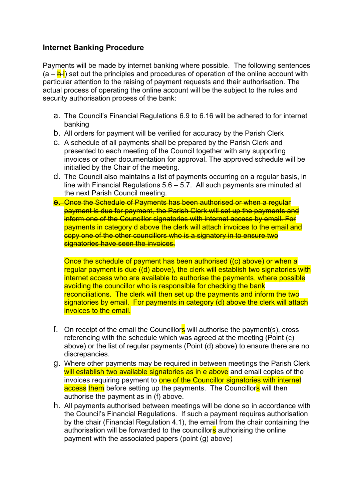#### **Internet Banking Procedure**

Payments will be made by internet banking where possible. The following sentences  $(a - h i)$  set out the principles and procedures of operation of the online account with particular attention to the raising of payment requests and their authorisation. The actual process of operating the online account will be the subject to the rules and security authorisation process of the bank:

- a. The Council's Financial Regulations 6.9 to 6.16 will be adhered to for internet banking
- b. All orders for payment will be verified for accuracy by the Parish Clerk
- c. A schedule of all payments shall be prepared by the Parish Clerk and presented to each meeting of the Council together with any supporting invoices or other documentation for approval. The approved schedule will be initialled by the Chair of the meeting.
- d. The Council also maintains a list of payments occurring on a regular basis, in line with Financial Regulations  $5.6 - 5.7$ . All such payments are minuted at the next Parish Council meeting.
- e. Once the Schedule of Payments has been authorised or when a regular payment is due for payment, the Parish Clerk will set up the payments and inform one of the Councillor signatories with internet access by email. For payments in category d above the clerk will attach invoices to the email and copy one of the other councillors who is a signatory in to ensure two signatories have seen the invoices.

Once the schedule of payment has been authorised ((c) above) or when a regular payment is due ((d) above), the clerk will establish two signatories with internet access who are available to authorise the payments, where possible avoiding the councillor who is responsible for checking the bank reconciliations. The clerk will then set up the payments and inform the two signatories by email. For payments in category (d) above the clerk will attach invoices to the email.

- f. On receipt of the email the Councillors will authorise the payment(s), cross referencing with the schedule which was agreed at the meeting (Point (c) above) or the list of regular payments (Point (d) above) to ensure there are no discrepancies.
- g. Where other payments may be required in between meetings the Parish Clerk will establish two available signatories as in e above and email copies of the invoices requiring payment to **one of the Councillor signatories with internet** access them before setting up the payments. The Councillors will then authorise the payment as in (f) above.
- h. All payments authorised between meetings will be done so in accordance with the Council's Financial Regulations. If such a payment requires authorisation by the chair (Financial Regulation 4.1), the email from the chair containing the authorisation will be forwarded to the councillors authorising the online payment with the associated papers (point (g) above)